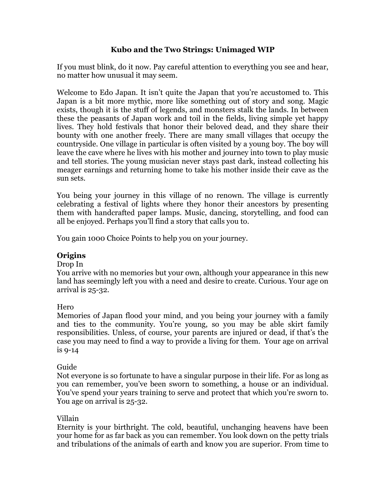# **Kubo and the Two Strings: Unimaged WIP**

If you must blink, do it now. Pay careful attention to everything you see and hear, no matter how unusual it may seem.

Welcome to Edo Japan. It isn't quite the Japan that you're accustomed to. This Japan is a bit more mythic, more like something out of story and song. Magic exists, though it is the stuff of legends, and monsters stalk the lands. In between these the peasants of Japan work and toil in the fields, living simple yet happy lives. They hold festivals that honor their beloved dead, and they share their bounty with one another freely. There are many small villages that occupy the countryside. One village in particular is often visited by a young boy. The boy will leave the cave where he lives with his mother and journey into town to play music and tell stories. The young musician never stays past dark, instead collecting his meager earnings and returning home to take his mother inside their cave as the sun sets.

You being your journey in this village of no renown. The village is currently celebrating a festival of lights where they honor their ancestors by presenting them with handcrafted paper lamps. Music, dancing, storytelling, and food can all be enjoyed. Perhaps you'll find a story that calls you to.

You gain 1000 Choice Points to help you on your journey.

# **Origins**

Drop In

You arrive with no memories but your own, although your appearance in this new land has seemingly left you with a need and desire to create. Curious. Your age on arrival is 25-32.

Hero

Memories of Japan flood your mind, and you being your journey with a family and ties to the community. You're young, so you may be able skirt family responsibilities. Unless, of course, your parents are injured or dead, if that's the case you may need to find a way to provide a living for them. Your age on arrival is 9-14

# Guide

Not everyone is so fortunate to have a singular purpose in their life. For as long as you can remember, you've been sworn to something, a house or an individual. You've spend your years training to serve and protect that which you're sworn to. You age on arrival is 25-32.

# Villain

Eternity is your birthright. The cold, beautiful, unchanging heavens have been your home for as far back as you can remember. You look down on the petty trials and tribulations of the animals of earth and know you are superior. From time to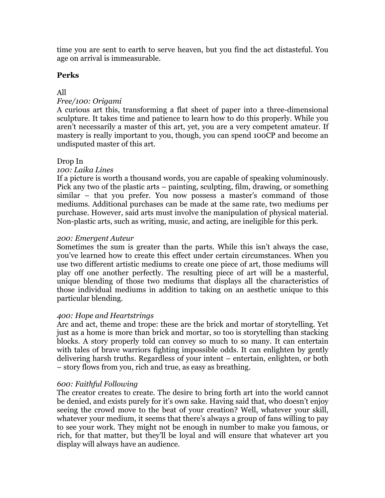time you are sent to earth to serve heaven, but you find the act distasteful. You age on arrival is immeasurable.

# **Perks**

# All

# *Free/100: Origami*

A curious art this, transforming a flat sheet of paper into a three-dimensional sculpture. It takes time and patience to learn how to do this properly. While you aren't necessarily a master of this art, yet, you are a very competent amateur. If mastery is really important to you, though, you can spend 100CP and become an undisputed master of this art.

# Drop In

# *100: Laika Lines*

If a picture is worth a thousand words, you are capable of speaking voluminously. Pick any two of the plastic arts – painting, sculpting, film, drawing, or something similar – that you prefer. You now possess a master's command of those mediums. Additional purchases can be made at the same rate, two mediums per purchase. However, said arts must involve the manipulation of physical material. Non-plastic arts, such as writing, music, and acting, are ineligible for this perk.

# *200: Emergent Auteur*

Sometimes the sum is greater than the parts. While this isn't always the case, you've learned how to create this effect under certain circumstances. When you use two different artistic mediums to create one piece of art, those mediums will play off one another perfectly. The resulting piece of art will be a masterful, unique blending of those two mediums that displays all the characteristics of those individual mediums in addition to taking on an aesthetic unique to this particular blending.

# *400: Hope and Heartstrings*

Arc and act, theme and trope: these are the brick and mortar of storytelling. Yet just as a home is more than brick and mortar, so too is storytelling than stacking blocks. A story properly told can convey so much to so many. It can entertain with tales of brave warriors fighting impossible odds. It can enlighten by gently delivering harsh truths. Regardless of your intent – entertain, enlighten, or both – story flows from you, rich and true, as easy as breathing.

# *600: Faithful Following*

The creator creates to create. The desire to bring forth art into the world cannot be denied, and exists purely for it's own sake. Having said that, who doesn't enjoy seeing the crowd move to the beat of your creation? Well, whatever your skill, whatever your medium, it seems that there's always a group of fans willing to pay to see your work. They might not be enough in number to make you famous, or rich, for that matter, but they'll be loyal and will ensure that whatever art you display will always have an audience.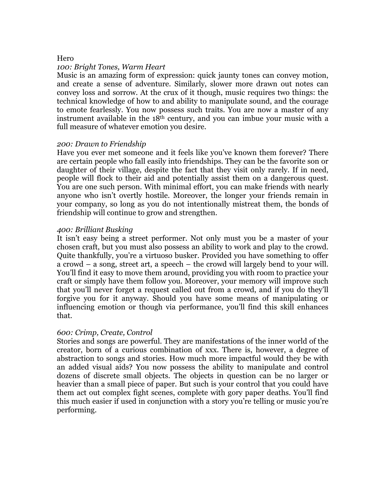#### Hero

#### *100: Bright Tones, Warm Heart*

Music is an amazing form of expression: quick jaunty tones can convey motion, and create a sense of adventure. Similarly, slower more drawn out notes can convey loss and sorrow. At the crux of it though, music requires two things: the technical knowledge of how to and ability to manipulate sound, and the courage to emote fearlessly. You now possess such traits. You are now a master of any instrument available in the 18th century, and you can imbue your music with a full measure of whatever emotion you desire.

#### *200: Drawn to Friendship*

Have you ever met someone and it feels like you've known them forever? There are certain people who fall easily into friendships. They can be the favorite son or daughter of their village, despite the fact that they visit only rarely. If in need, people will flock to their aid and potentially assist them on a dangerous quest. You are one such person. With minimal effort, you can make friends with nearly anyone who isn't overtly hostile. Moreover, the longer your friends remain in your company, so long as you do not intentionally mistreat them, the bonds of friendship will continue to grow and strengthen.

#### *400: Brilliant Busking*

It isn't easy being a street performer. Not only must you be a master of your chosen craft, but you must also possess an ability to work and play to the crowd. Quite thankfully, you're a virtuoso busker. Provided you have something to offer a crowd – a song, street art, a speech – the crowd will largely bend to your will. You'll find it easy to move them around, providing you with room to practice your craft or simply have them follow you. Moreover, your memory will improve such that you'll never forget a request called out from a crowd, and if you do they'll forgive you for it anyway. Should you have some means of manipulating or influencing emotion or though via performance, you'll find this skill enhances that.

### *600: Crimp, Create, Control*

Stories and songs are powerful. They are manifestations of the inner world of the creator, born of a curious combination of xxx. There is, however, a degree of abstraction to songs and stories. How much more impactful would they be with an added visual aids? You now possess the ability to manipulate and control dozens of discrete small objects. The objects in question can be no larger or heavier than a small piece of paper. But such is your control that you could have them act out complex fight scenes, complete with gory paper deaths. You'll find this much easier if used in conjunction with a story you're telling or music you're performing.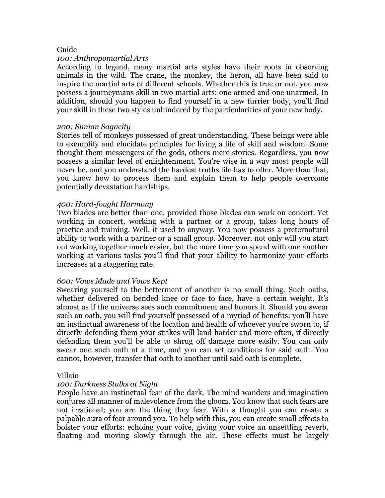### Guide

## *100: Anthropomartial Arts*

According to legend, many martial arts styles have their roots in observing animals in the wild. The crane, the monkey, the heron, all have been said to inspire the martial arts of different schools. Whether this is true or not, you now possess a journeymans skill in two martial arts: one armed and one unarmed. In addition, should you happen to find yourself in a new furrier body, you'll find your skill in these two styles unhindered by the particularities of your new body.

#### *200: Simian Sagacity*

Stories tell of monkeys possessed of great understanding. These beings were able to exemplify and elucidate principles for living a life of skill and wisdom. Some thought them messengers of the gods, others mere stories. Regardless, you now possess a similar level of enlightenment. You're wise in a way most people will never be, and you understand the hardest truths life has to offer. More than that, you know how to process them and explain them to help people overcome potentially devastation hardships.

#### *400: Hard-fought Harmony*

Two blades are better than one, provided those blades can work on concert. Yet working in concert, working with a partner or a group, takes long hours of practice and training. Well, it used to anyway. You now possess a preternatural ability to work with a partner or a small group. Moreover, not only will you start out working together much easier, but the more time you spend with one another working at various tasks you'll find that your ability to harmonize your efforts increases at a staggering rate.

### *600: Vows Made and Vows Kept*

Swearing yourself to the betterment of another is no small thing. Such oaths, whether delivered on bended knee or face to face, have a certain weight. It's almost as if the universe sees such commitment and honors it. Should you swear such an oath, you will find yourself possessed of a myriad of benefits: you'll have an instinctual awareness of the location and health of whoever you're sworn to, if directly defending them your strikes will land harder and more often, if directly defending them you'll be able to shrug off damage more easily. You can only swear one such oath at a time, and you can set conditions for said oath. You cannot, however, transfer that oath to another until said oath is complete.

#### Villain

### *100: Darkness Stalks at Night*

People have an instinctual fear of the dark. The mind wanders and imagination conjures all manner of malevolence from the gloom. You know that such fears are not irrational; you are the thing they fear. With a thought you can create a palpable aura of fear around you. To help with this, you can create small effects to bolster your efforts: echoing your voice, giving your voice an unsettling reverb, floating and moving slowly through the air. These effects must be largely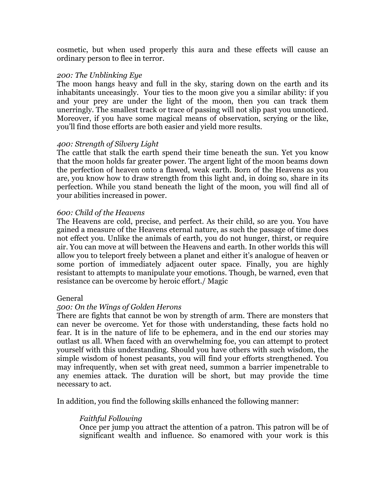cosmetic, but when used properly this aura and these effects will cause an ordinary person to flee in terror.

### *200: The Unblinking Eye*

The moon hangs heavy and full in the sky, staring down on the earth and its inhabitants unceasingly. Your ties to the moon give you a similar ability: if you and your prey are under the light of the moon, then you can track them unerringly. The smallest track or trace of passing will not slip past you unnoticed. Moreover, if you have some magical means of observation, scrying or the like, you'll find those efforts are both easier and yield more results.

## *400: Strength of Silvery Light*

The cattle that stalk the earth spend their time beneath the sun. Yet you know that the moon holds far greater power. The argent light of the moon beams down the perfection of heaven onto a flawed, weak earth. Born of the Heavens as you are, you know how to draw strength from this light and, in doing so, share in its perfection. While you stand beneath the light of the moon, you will find all of your abilities increased in power.

## *600: Child of the Heavens*

The Heavens are cold, precise, and perfect. As their child, so are you. You have gained a measure of the Heavens eternal nature, as such the passage of time does not effect you. Unlike the animals of earth, you do not hunger, thirst, or require air. You can move at will between the Heavens and earth. In other worlds this will allow you to teleport freely between a planet and either it's analogue of heaven or some portion of immediately adjacent outer space. Finally, you are highly resistant to attempts to manipulate your emotions. Though, be warned, even that resistance can be overcome by heroic effort./ Magic

# General

# *500: On the Wings of Golden Herons*

There are fights that cannot be won by strength of arm. There are monsters that can never be overcome. Yet for those with understanding, these facts hold no fear. It is in the nature of life to be ephemera, and in the end our stories may outlast us all. When faced with an overwhelming foe, you can attempt to protect yourself with this understanding. Should you have others with such wisdom, the simple wisdom of honest peasants, you will find your efforts strengthened. You may infrequently, when set with great need, summon a barrier impenetrable to any enemies attack. The duration will be short, but may provide the time necessary to act.

In addition, you find the following skills enhanced the following manner:

# *Faithful Following*

Once per jump you attract the attention of a patron. This patron will be of significant wealth and influence. So enamored with your work is this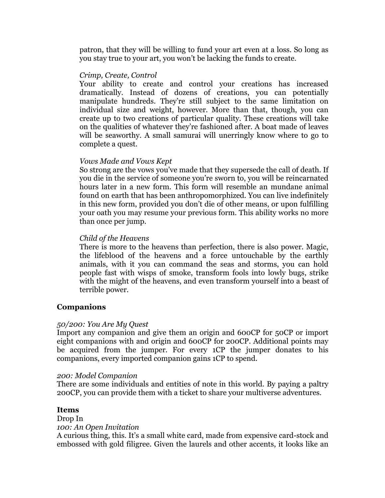patron, that they will be willing to fund your art even at a loss. So long as you stay true to your art, you won't be lacking the funds to create.

### *Crimp, Create, Control*

Your ability to create and control your creations has increased dramatically. Instead of dozens of creations, you can potentially manipulate hundreds. They're still subject to the same limitation on individual size and weight, however. More than that, though, you can create up to two creations of particular quality. These creations will take on the qualities of whatever they're fashioned after. A boat made of leaves will be seaworthy. A small samurai will unerringly know where to go to complete a quest.

## *Vows Made and Vows Kept*

So strong are the vows you've made that they supersede the call of death. If you die in the service of someone you're sworn to, you will be reincarnated hours later in a new form. This form will resemble an mundane animal found on earth that has been anthropomorphized. You can live indefinitely in this new form, provided you don't die of other means, or upon fulfilling your oath you may resume your previous form. This ability works no more than once per jump.

## *Child of the Heavens*

There is more to the heavens than perfection, there is also power. Magic, the lifeblood of the heavens and a force untouchable by the earthly animals, with it you can command the seas and storms, you can hold people fast with wisps of smoke, transform fools into lowly bugs, strike with the might of the heavens, and even transform yourself into a beast of terrible power.

### **Companions**

### *50/200: You Are My Quest*

Import any companion and give them an origin and 600CP for 50CP or import eight companions with and origin and 600CP for 200CP. Additional points may be acquired from the jumper. For every 1CP the jumper donates to his companions, every imported companion gains 1CP to spend.

### *200: Model Companion*

There are some individuals and entities of note in this world. By paying a paltry 200CP, you can provide them with a ticket to share your multiverse adventures.

### **Items**

#### Drop In *100: An Open Invitation*

A curious thing, this. It's a small white card, made from expensive card-stock and embossed with gold filigree. Given the laurels and other accents, it looks like an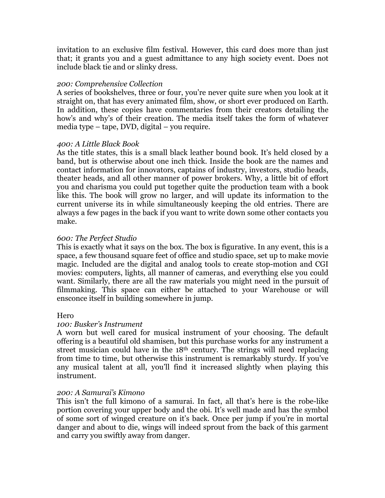invitation to an exclusive film festival. However, this card does more than just that; it grants you and a guest admittance to any high society event. Does not include black tie and or slinky dress.

### *200: Comprehensive Collection*

A series of bookshelves, three or four, you're never quite sure when you look at it straight on, that has every animated film, show, or short ever produced on Earth. In addition, these copies have commentaries from their creators detailing the how's and why's of their creation. The media itself takes the form of whatever media type – tape, DVD, digital – you require.

## *400: A Little Black Book*

As the title states, this is a small black leather bound book. It's held closed by a band, but is otherwise about one inch thick. Inside the book are the names and contact information for innovators, captains of industry, investors, studio heads, theater heads, and all other manner of power brokers. Why, a little bit of effort you and charisma you could put together quite the production team with a book like this. The book will grow no larger, and will update its information to the current universe its in while simultaneously keeping the old entries. There are always a few pages in the back if you want to write down some other contacts you make.

## *600: The Perfect Studio*

This is exactly what it says on the box. The box is figurative. In any event, this is a space, a few thousand square feet of office and studio space, set up to make movie magic. Included are the digital and analog tools to create stop-motion and CGI movies: computers, lights, all manner of cameras, and everything else you could want. Similarly, there are all the raw materials you might need in the pursuit of filmmaking. This space can either be attached to your Warehouse or will ensconce itself in building somewhere in jump.

### Hero

# *100: Busker's Instrument*

A worn but well cared for musical instrument of your choosing. The default offering is a beautiful old shamisen, but this purchase works for any instrument a street musician could have in the 18th century. The strings will need replacing from time to time, but otherwise this instrument is remarkably sturdy. If you've any musical talent at all, you'll find it increased slightly when playing this instrument.

### *200: A Samurai's Kimono*

This isn't the full kimono of a samurai. In fact, all that's here is the robe-like portion covering your upper body and the obi. It's well made and has the symbol of some sort of winged creature on it's back. Once per jump if you're in mortal danger and about to die, wings will indeed sprout from the back of this garment and carry you swiftly away from danger.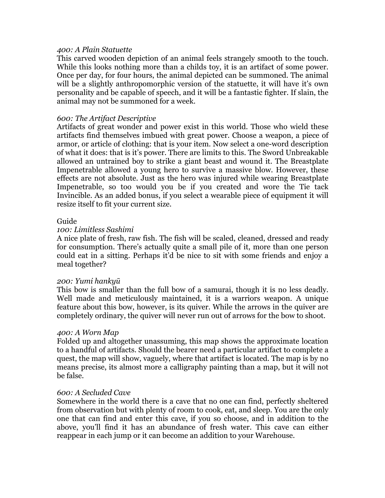#### *400: A Plain Statuette*

This carved wooden depiction of an animal feels strangely smooth to the touch. While this looks nothing more than a childs toy, it is an artifact of some power. Once per day, for four hours, the animal depicted can be summoned. The animal will be a slightly anthropomorphic version of the statuette, it will have it's own personality and be capable of speech, and it will be a fantastic fighter. If slain, the animal may not be summoned for a week.

### *600: The Artifact Descriptive*

Artifacts of great wonder and power exist in this world. Those who wield these artifacts find themselves imbued with great power. Choose a weapon, a piece of armor, or article of clothing: that is your item. Now select a one-word description of what it does: that is it's power. There are limits to this. The Sword Unbreakable allowed an untrained boy to strike a giant beast and wound it. The Breastplate Impenetrable allowed a young hero to survive a massive blow. However, these effects are not absolute. Just as the hero was injured while wearing Breastplate Impenetrable, so too would you be if you created and wore the Tie tack Invincible. As an added bonus, if you select a wearable piece of equipment it will resize itself to fit your current size.

#### Guide

#### *100: Limitless Sashimi*

A nice plate of fresh, raw fish. The fish will be scaled, cleaned, dressed and ready for consumption. There's actually quite a small pile of it, more than one person could eat in a sitting. Perhaps it'd be nice to sit with some friends and enjoy a meal together?

### *200: Yumi hankyū*

This bow is smaller than the full bow of a samurai, though it is no less deadly. Well made and meticulously maintained, it is a warriors weapon. A unique feature about this bow, however, is its quiver. While the arrows in the quiver are completely ordinary, the quiver will never run out of arrows for the bow to shoot.

### *400: A Worn Map*

Folded up and altogether unassuming, this map shows the approximate location to a handful of artifacts. Should the bearer need a particular artifact to complete a quest, the map will show, vaguely, where that artifact is located. The map is by no means precise, its almost more a calligraphy painting than a map, but it will not be false.

#### *600: A Secluded Cave*

Somewhere in the world there is a cave that no one can find, perfectly sheltered from observation but with plenty of room to cook, eat, and sleep. You are the only one that can find and enter this cave, if you so choose, and in addition to the above, you'll find it has an abundance of fresh water. This cave can either reappear in each jump or it can become an addition to your Warehouse.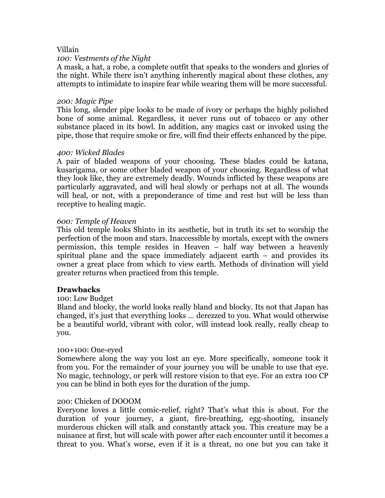## Villain

### *100: Vestments of the Night*

A mask, a hat, a robe, a complete outfit that speaks to the wonders and glories of the night. While there isn't anything inherently magical about these clothes, any attempts to intimidate to inspire fear while wearing them will be more successful.

#### *200: Magic Pipe*

This long, slender pipe looks to be made of ivory or perhaps the highly polished bone of some animal. Regardless, it never runs out of tobacco or any other substance placed in its bowl. In addition, any magics cast or invoked using the pipe, those that require smoke or fire, will find their effects enhanced by the pipe.

### *400: Wicked Blades*

A pair of bladed weapons of your choosing. These blades could be katana, kusarigama, or some other bladed weapon of your choosing. Regardless of what they look like, they are extremely deadly. Wounds inflicted by these weapons are particularly aggravated, and will heal slowly or perhaps not at all. The wounds will heal, or not, with a preponderance of time and rest but will be less than receptive to healing magic.

### *600: Temple of Heaven*

This old temple looks Shinto in its aesthetic, but in truth its set to worship the perfection of the moon and stars. Inaccessible by mortals, except with the owners permission, this temple resides in Heaven – half way between a heavenly spiritual plane and the space immediately adjacent earth – and provides its owner a great place from which to view earth. Methods of divination will yield greater returns when practiced from this temple.

### **Drawbacks**

### 100: Low Budget

Bland and blocky, the world looks really bland and blocky. Its not that Japan has changed, it's just that everything looks … derezzed to you. What would otherwise be a beautiful world, vibrant with color, will instead look really, really cheap to you.

### 100+100: One-eyed

Somewhere along the way you lost an eye. More specifically, someone took it from you. For the remainder of your journey you will be unable to use that eye. No magic, technology, or perk will restore vision to that eye. For an extra 100 CP you can be blind in both eyes for the duration of the jump.

### 200: Chicken of DOOOM

Everyone loves a little comic-relief, right? That's what this is about. For the duration of your journey, a giant, fire-breathing, egg-shooting, insanely murderous chicken will stalk and constantly attack you. This creature may be a nuisance at first, but will scale with power after each encounter until it becomes a threat to you. What's worse, even if it is a threat, no one but you can take it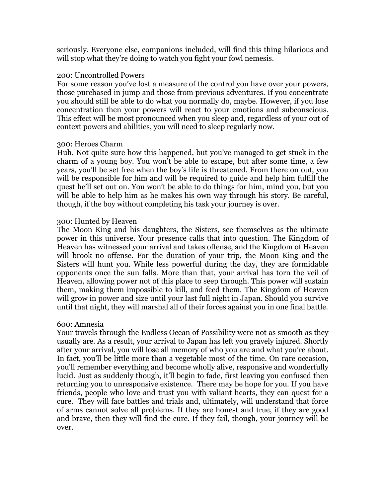seriously. Everyone else, companions included, will find this thing hilarious and will stop what they're doing to watch you fight your fowl nemesis.

### 200: Uncontrolled Powers

For some reason you've lost a measure of the control you have over your powers, those purchased in jump and those from previous adventures. If you concentrate you should still be able to do what you normally do, maybe. However, if you lose concentration then your powers will react to your emotions and subconscious. This effect will be most pronounced when you sleep and, regardless of your out of context powers and abilities, you will need to sleep regularly now.

### 300: Heroes Charm

Huh. Not quite sure how this happened, but you've managed to get stuck in the charm of a young boy. You won't be able to escape, but after some time, a few years, you'll be set free when the boy's life is threatened. From there on out, you will be responsible for him and will be required to guide and help him fulfill the quest he'll set out on. You won't be able to do things for him, mind you, but you will be able to help him as he makes his own way through his story. Be careful, though, if the boy without completing his task your journey is over.

### 300: Hunted by Heaven

The Moon King and his daughters, the Sisters, see themselves as the ultimate power in this universe. Your presence calls that into question. The Kingdom of Heaven has witnessed your arrival and takes offense, and the Kingdom of Heaven will brook no offense. For the duration of your trip, the Moon King and the Sisters will hunt you. While less powerful during the day, they are formidable opponents once the sun falls. More than that, your arrival has torn the veil of Heaven, allowing power not of this place to seep through. This power will sustain them, making them impossible to kill, and feed them. The Kingdom of Heaven will grow in power and size until your last full night in Japan. Should you survive until that night, they will marshal all of their forces against you in one final battle.

### 600: Amnesia

Your travels through the Endless Ocean of Possibility were not as smooth as they usually are. As a result, your arrival to Japan has left you gravely injured. Shortly after your arrival, you will lose all memory of who you are and what you're about. In fact, you'll be little more than a vegetable most of the time. On rare occasion, you'll remember everything and become wholly alive, responsive and wonderfully lucid. Just as suddenly though, it'll begin to fade, first leaving you confused then returning you to unresponsive existence. There may be hope for you. If you have friends, people who love and trust you with valiant hearts, they can quest for a cure. They will face battles and trials and, ultimately, will understand that force of arms cannot solve all problems. If they are honest and true, if they are good and brave, then they will find the cure. If they fail, though, your journey will be over.